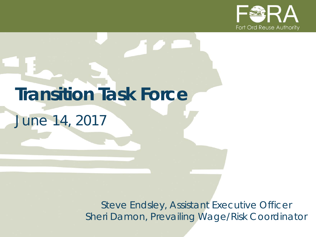

# **Transition Task Force**

*June 14, 2017*

*Steve Endsley, Assistant Executive Officer Sheri Damon, Prevailing Wage/Risk Coordinator*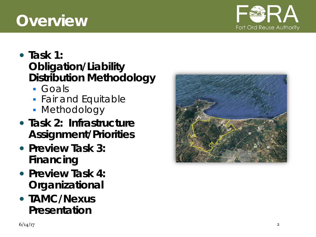## **Overview**

#### **Task 1: Obligation/Liability Distribution Methodology**

- Goals
- *Fair and Equitable*
- Methodology
- **Task 2: Infrastructure Assignment/Priorities**
- **Preview Task 3: Financing**
- **Preview Task 4: Organizational**
- **TAMC/Nexus Presentation**



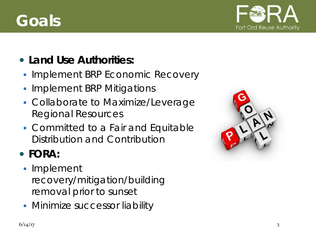## **Goals**



#### **Land Use Authorities:**

- **Implement BRP Economic Recovery**
- **Implement BRP Mitigations**
- **Collaborate to Maximize/Leverage** Regional Resources
- **Committed to a Fair and Equitable** Distribution and Contribution

#### **FORA:**

- **Implement** recovery/mitigation/building removal prior to sunset
- **Minimize successor liability**

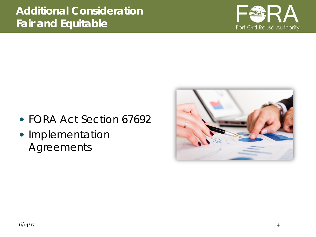

- FORA Act Section 67692
- Implementation Agreements

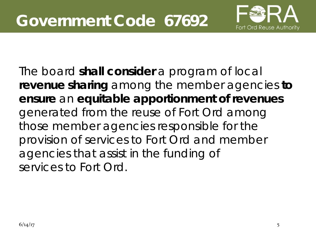

The board **shall consider** a program of local **revenue sharing** among the member agencies **to ensure** an **equitable apportionment of revenues**  generated from the reuse of Fort Ord among those member agencies responsible for the provision of services to Fort Ord and member agencies that assist in the funding of services to Fort Ord.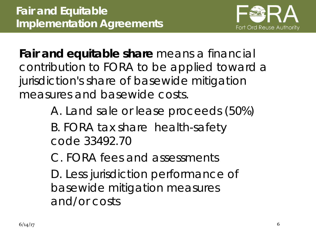

**Fair and equitable share** *means* a financial contribution to FORA to be applied toward a jurisdiction's share of basewide mitigation measures and basewide costs.

> A. Land sale or lease proceeds (50%) B. FORA tax share health-safety code 33492.70

C. FORA fees and assessments

D. Less jurisdiction performance of basewide mitigation measures and/or costs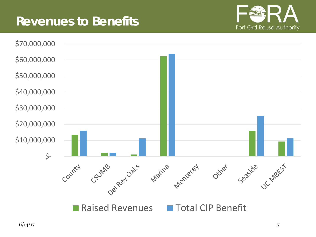#### **Revenues to Benefits**



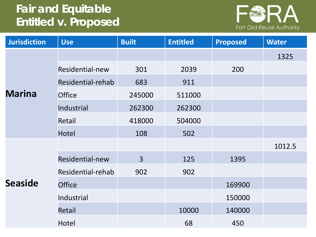#### **Fair and Equitable Entitled v. Proposed**



| <b>Jurisdiction</b> | <b>Use</b>        | <b>Built</b>   | <b>Entitled</b> | <b>Proposed</b> | <b>Water</b> |
|---------------------|-------------------|----------------|-----------------|-----------------|--------------|
|                     |                   |                |                 |                 | 1325         |
|                     | Residential-new   | 301            | 2039            | 200             |              |
|                     | Residential-rehab | 683            | 911             |                 |              |
| <b>Marina</b>       | <b>Office</b>     | 245000         | 511000          |                 |              |
|                     | Industrial        | 262300         | 262300          |                 |              |
|                     | Retail            | 418000         | 504000          |                 |              |
|                     | <b>Hotel</b>      | 108            | 502             |                 |              |
|                     |                   |                |                 |                 | 1012.5       |
|                     | Residential-new   | $\overline{3}$ | 125             | 1395            |              |
|                     | Residential-rehab | 902            | 902             |                 |              |
| <b>Seaside</b>      | <b>Office</b>     |                |                 | 169900          |              |
|                     | Industrial        |                |                 | 150000          |              |
|                     | Retail            |                | 10000           | 140000          |              |
|                     | Hotel             |                | 68              | 450             |              |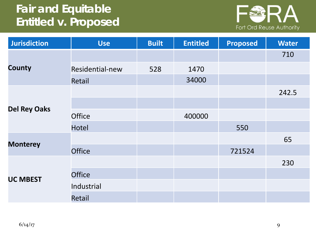#### **Fair and Equitable Entitled v. Proposed**



| <b>Jurisdiction</b> | <b>Use</b>      | <b>Built</b> | <b>Entitled</b> | <b>Proposed</b> | <b>Water</b> |
|---------------------|-----------------|--------------|-----------------|-----------------|--------------|
|                     |                 |              |                 |                 | 710          |
| <b>County</b>       | Residential-new | 528          | 1470            |                 |              |
|                     | Retail          |              | 34000           |                 |              |
|                     |                 |              |                 |                 | 242.5        |
| <b>Del Rey Oaks</b> |                 |              |                 |                 |              |
|                     | <b>Office</b>   |              | 400000          |                 |              |
|                     | <b>Hotel</b>    |              |                 | 550             |              |
| <b>Monterey</b>     |                 |              |                 |                 | 65           |
|                     | <b>Office</b>   |              |                 | 721524          |              |
|                     |                 |              |                 |                 | 230          |
| <b>UC MBEST</b>     | <b>Office</b>   |              |                 |                 |              |
|                     | Industrial      |              |                 |                 |              |
|                     | Retail          |              |                 |                 |              |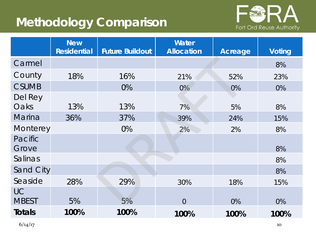#### **Methodology Comparison**



|                           | <b>New</b><br><b>Residential</b> | <b>Future Buildout</b> | <b>Water</b><br><b>Allocation</b> | <b>Acreage</b> | <b>Voting</b> |
|---------------------------|----------------------------------|------------------------|-----------------------------------|----------------|---------------|
| Carmel                    |                                  |                        |                                   |                | 8%            |
| County                    | 18%                              | 16%                    | 21%                               | 52%            | 23%           |
| <b>CSUMB</b>              |                                  | 0%                     | $0\%$                             | 0%             | 0%            |
| Del Rey<br>Oaks           | 13%                              | 13%                    | 7%                                | 5%             | 8%            |
| <b>Marina</b>             | 36%                              | 37%                    | 39%                               | 24%            | 15%           |
| Monterey                  |                                  | 0%                     | 2%                                | 2%             | 8%            |
| Pacific<br>Grove          |                                  |                        |                                   |                | 8%            |
| Salinas                   |                                  |                        |                                   |                | 8%            |
| Sand City                 |                                  |                        |                                   |                | 8%            |
| Seaside                   | 28%                              | 29%                    | 30%                               | 18%            | 15%           |
| <b>UC</b><br><b>MBEST</b> | 5%                               | 5%                     | $\overline{0}$                    | 0%             | 0%            |
| <b>Totals</b>             | 100%                             | 100%                   | 100%                              | 100%           | 100%          |

 $6/14/17$  10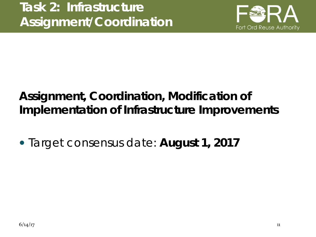

#### **Assignment, Coordination, Modification of Implementation of Infrastructure Improvements**

*Target consensus date: August 1, 2017*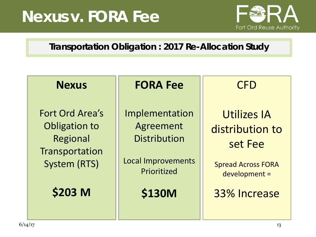## **Nexus v. FORA Fee**



#### **Transportation Obligation : 2017 Re-Allocation Study**

| <b>Nexus</b>                                                                          | <b>FORA Fee</b>                                                                                | <b>CFD</b>                                                                                     |  |
|---------------------------------------------------------------------------------------|------------------------------------------------------------------------------------------------|------------------------------------------------------------------------------------------------|--|
| Fort Ord Area's<br>Obligation to<br>Regional<br>Transportation<br><b>System (RTS)</b> | Implementation<br>Agreement<br><b>Distribution</b><br><b>Local Improvements</b><br>Prioritized | <b>Utilizes IA</b><br>distribution to<br>set Fee<br><b>Spread Across FORA</b><br>development = |  |
| \$203 M                                                                               | <b>\$130M</b>                                                                                  | 33% Increase                                                                                   |  |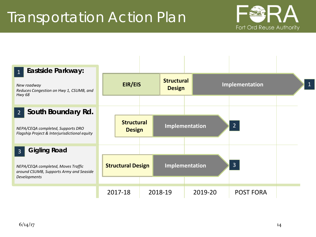## Transportation Action Plan



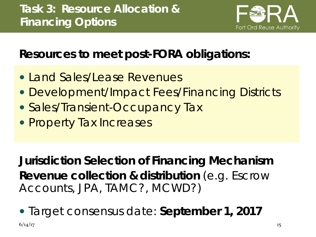

#### **Resources to meet post-FORA obligations:**

- Land Sales/Lease Revenues
- Development/Impact Fees/Financing Districts
- Sales/Transient-Occupancy Tax
- Property Tax Increases

**Jurisdiction Selection of Financing Mechanism Revenue collection & distribution** (e.g. Escrow Accounts, JPA, TAMC?, MCWD?)

*Target consensus date: September 1, 2017*

 $6/14/17$  15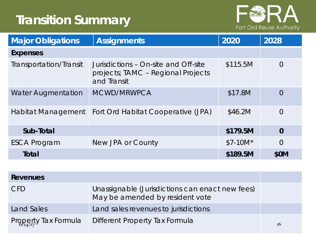#### **Transition Summary**



| <b>Major Obligations</b>  | <b>Assignments</b>                                                                        | 2020      | 2028        |
|---------------------------|-------------------------------------------------------------------------------------------|-----------|-------------|
| <b>Expenses</b>           |                                                                                           |           |             |
| Transportation/Transit    | Jurisdictions – On-site and Off-site<br>projects; TAMC - Regional Projects<br>and Transit | \$115.5M  | 0           |
| <b>Water Augmentation</b> | MCWD/MRWPCA                                                                               | \$17.8M   | 0           |
| Habitat Management        | Fort Ord Habitat Cooperative (JPA)                                                        | \$46.2M   | $\Omega$    |
| Sub-Total                 |                                                                                           | \$179.5M  | $\mathbf 0$ |
| <b>ESCA Program</b>       | New JPA or County                                                                         | $$7-10M*$ | 0           |
| Total                     |                                                                                           | \$189.5M  | <b>\$0M</b> |

| <b>Revenues</b>      |                                                                                    |    |
|----------------------|------------------------------------------------------------------------------------|----|
| <b>CFD</b>           | Unassignable (Jurisdictions can enact new fees)<br>May be amended by resident vote |    |
| Land Sales           | Land sales revenues to jurisdictions                                               |    |
| Property Tax Formula | Different Property Tax Formula                                                     | 16 |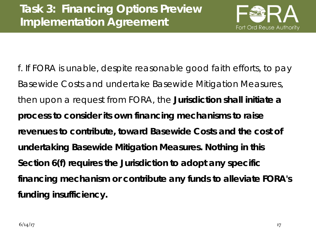

f. If FORA is unable, despite reasonable good faith efforts, to pay Basewide Costs and undertake Basewide Mitigation Measures, then upon a request from FORA, the **Jurisdiction shall initiate a process to consider its own financing mechanisms to raise revenues to contribute, toward Basewide Costs and the cost of undertaking Basewide Mitigation Measures. Nothing in this Section 6(f) requires the Jurisdiction to adopt any specific financing mechanism or contribute any funds to alleviate FORA's funding insufficiency.**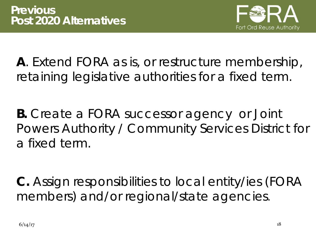

**A**. Extend FORA as is, or restructure membership, retaining legislative authorities for a fixed term.

**B.** Create a FORA successor agency or Joint Powers Authority / Community Services District for a fixed term.

**C.** Assign responsibilities to local entity/ies (FORA members) and/or regional/state agencies.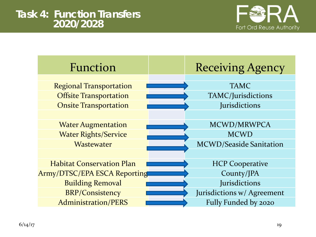

| Function                            | <b>Receiving Agency</b>    |
|-------------------------------------|----------------------------|
|                                     |                            |
| <b>Regional Transportation</b>      | <b>TAMC</b>                |
| <b>Offsite Transportation</b>       | TAMC/Jurisdictions         |
| <b>Onsite Transportation</b>        | Jurisdictions              |
|                                     |                            |
| <b>Water Augmentation</b>           | MCWD/MRWPCA                |
| <b>Water Rights/Service</b>         | <b>MCWD</b>                |
| Wastewater                          | MCWD/Seaside Sanitation    |
|                                     |                            |
| <b>Habitat Conservation Plan</b>    | <b>HCP Cooperative</b>     |
| <b>Army/DTSC/EPA ESCA Reporting</b> | County/JPA                 |
| <b>Building Removal</b>             | Jurisdictions              |
| <b>BRP/Consistency</b>              | Jurisdictions w/ Agreement |
| <b>Administration/PERS</b>          | Fully Funded by 2020       |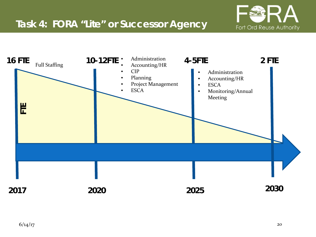

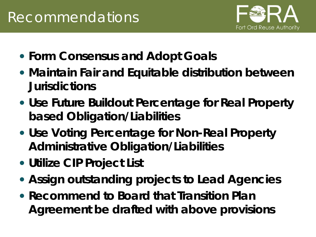

- **Form Consensus and Adopt Goals**
- **Maintain Fair and Equitable distribution between Jurisdictions**
- **Use Future Buildout Percentage for Real Property based Obligation/Liabilities**
- **Use Voting Percentage for Non-Real Property Administrative Obligation/Liabilities**
- **Utilize CIP Project List**
- **Assign outstanding projects to Lead Agencies**
- **Recommend to Board that Transition Plan Agreement be drafted with above provisions**